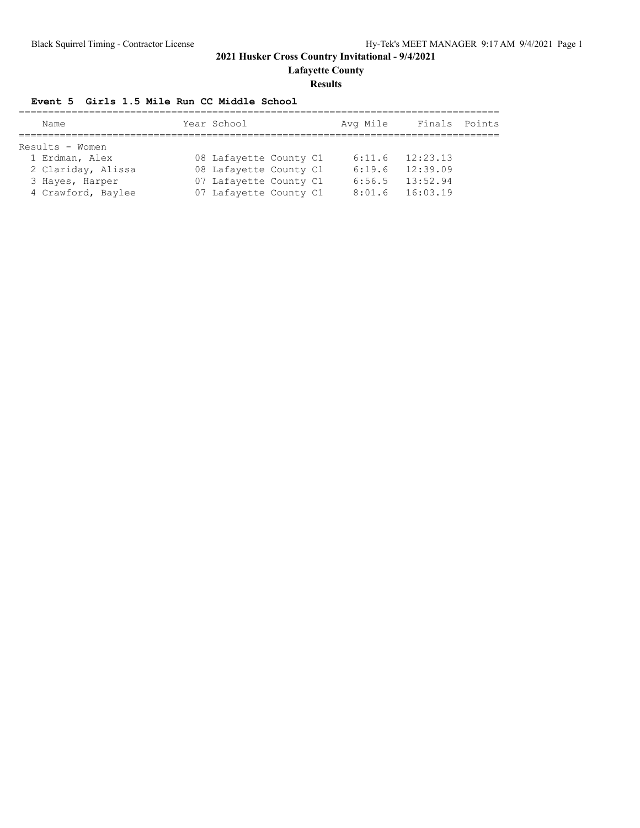**Lafayette County**

#### **Results**

#### **Event 5 Girls 1.5 Mile Run CC Middle School**

| Name               | Year School            | Avg Mile | Finals Points |  |
|--------------------|------------------------|----------|---------------|--|
|                    |                        |          |               |  |
| Results - Women    |                        |          |               |  |
| 1 Erdman, Alex     | 08 Lafayette County C1 | 6:11.6   | 12:23.13      |  |
| 2 Clariday, Alissa | 08 Lafayette County C1 | 6:19.6   | 12:39.09      |  |
| 3 Hayes, Harper    | 07 Lafayette County C1 | 6:56.5   | 13:52.94      |  |
| 4 Crawford, Baylee | 07 Lafayette County C1 | 8:01.6   | 16:03.19      |  |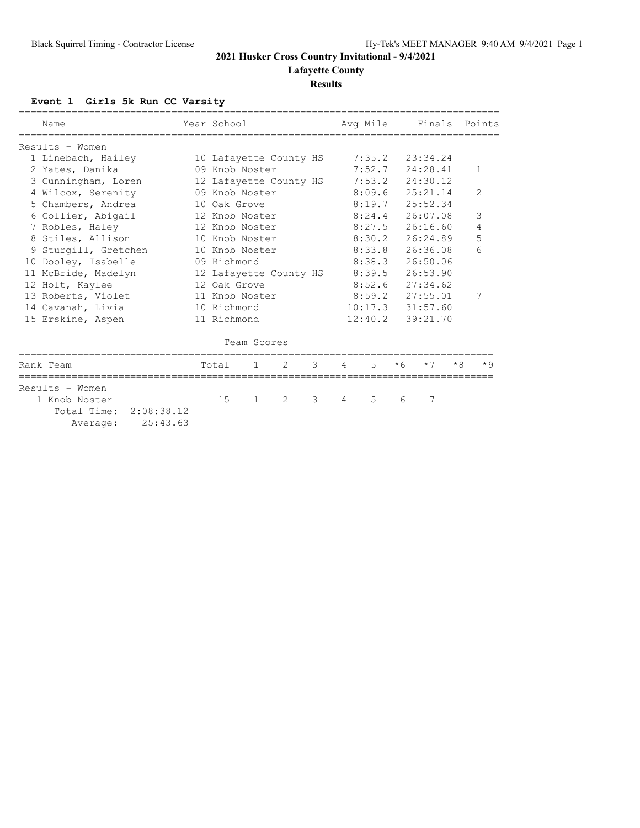**Lafayette County**

#### **Results**

# **Event 1 Girls 5k Run CC Varsity**

|   | Name                                    | Year School    |                |                        |   |   | Avg Mile |      | Finals   |      | Points         |
|---|-----------------------------------------|----------------|----------------|------------------------|---|---|----------|------|----------|------|----------------|
|   |                                         |                |                |                        |   |   |          |      |          |      |                |
|   | Results - Women                         |                |                |                        |   |   |          |      |          |      |                |
|   | 1 Linebach, Hailey                      |                |                | 10 Lafayette County HS |   |   | 7:35.2   |      | 23:34.24 |      |                |
|   | 2 Yates, Danika                         |                | 09 Knob Noster |                        |   |   | 7:52.7   |      | 24:28.41 |      | $\mathbf{1}$   |
|   | 3 Cunningham, Loren                     |                |                | 12 Lafayette County HS |   |   | 7:53.2   |      | 24:30.12 |      |                |
|   | 4 Wilcox, Serenity                      |                | 09 Knob Noster |                        |   |   | 8:09.6   |      | 25:21.14 |      | $\overline{2}$ |
|   | 5 Chambers, Andrea                      | 10 Oak Grove   |                |                        |   |   | 8:19.7   |      | 25:52.34 |      |                |
|   | 6 Collier, Abigail                      |                | 12 Knob Noster |                        |   |   | 8:24.4   |      | 26:07.08 |      | 3              |
|   | 7 Robles, Haley                         |                | 12 Knob Noster |                        |   |   | 8:27.5   |      | 26:16.60 |      | 4              |
|   | 8 Stiles, Allison                       | 10 Knob Noster |                |                        |   |   | 8:30.2   |      | 26:24.89 |      | 5              |
| 9 | Sturgill, Gretchen                      | 10 Knob Noster |                |                        |   |   | 8:33.8   |      | 26:36.08 |      | 6              |
|   | 10 Dooley, Isabelle                     | 09 Richmond    |                |                        |   |   | 8:38.3   |      | 26:50.06 |      |                |
|   | 11 McBride, Madelyn                     |                |                | 12 Lafayette County HS |   |   | 8:39.5   |      | 26:53.90 |      |                |
|   | 12 Holt, Kaylee                         | 12 Oak Grove   |                |                        |   |   | 8:52.6   |      | 27:34.62 |      |                |
|   | 13 Roberts, Violet                      | 11 Knob Noster |                |                        |   |   | 8:59.2   |      | 27:55.01 |      | 7              |
|   | 14 Cavanah, Livia                       | 10 Richmond    |                |                        |   |   | 10:17.3  |      | 31:57.60 |      |                |
|   | 15 Erskine, Aspen                       | 11 Richmond    |                |                        |   |   | 12:40.2  |      | 39:21.70 |      |                |
|   |                                         |                | Team Scores    |                        |   |   |          |      |          |      |                |
|   | Rank Team                               | Total          | $\mathbf{1}$   | $\mathcal{L}$          | 3 | 4 | 5        | $*6$ | $*7$     | $*8$ | $*9$           |
|   | Results - Women                         |                |                |                        |   |   |          |      |          |      |                |
|   | 1 Knob Noster<br>Total Time: 2:08:38.12 | 15             | $\mathbf{1}$   | $\mathcal{L}$          | 3 | 4 | 5        | 6    | 7        |      |                |

Average: 25:43.63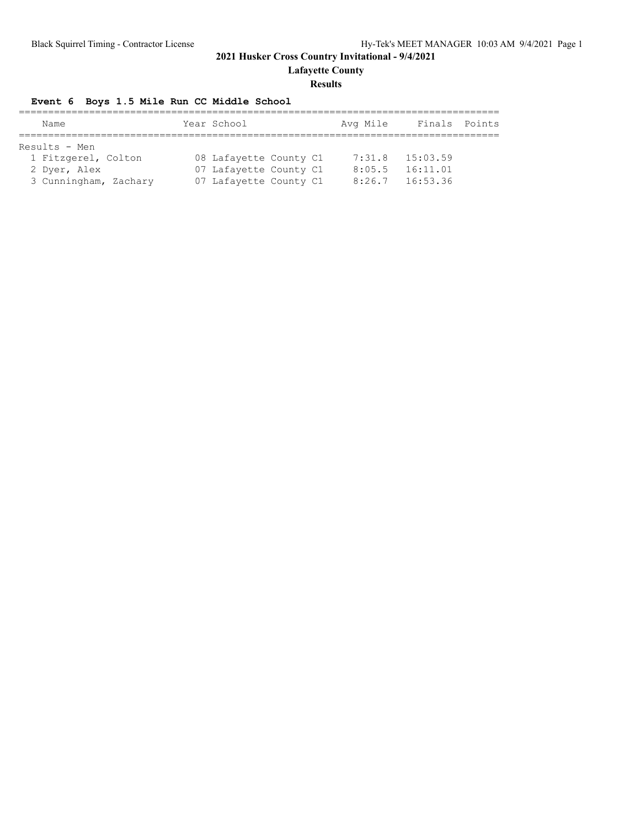**Lafayette County**

#### **Results**

# **Event 6 Boys 1.5 Mile Run CC Middle School**

| Name                  | Year School            |  | Avg Mile | Finals Points |  |
|-----------------------|------------------------|--|----------|---------------|--|
|                       |                        |  |          |               |  |
| Results - Men         |                        |  |          |               |  |
| 1 Fitzgerel, Colton   | 08 Lafayette County C1 |  | 7:31.8   | 15:03.59      |  |
| 2 Dyer, Alex          | 07 Lafayette County C1 |  | 8:05.5   | 16:11.01      |  |
| 3 Cunningham, Zachary | 07 Lafayette County C1 |  | 8:26.7   | 16:53.36      |  |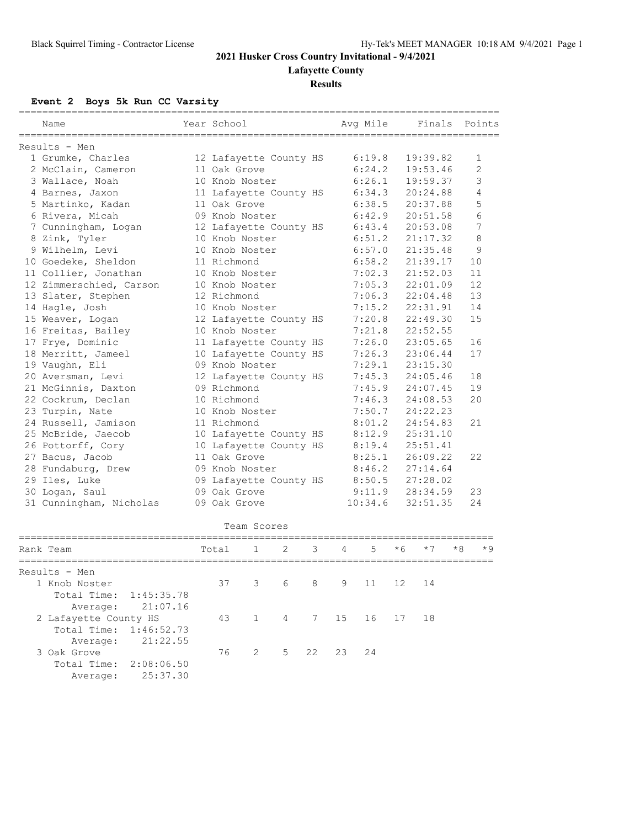**Lafayette County**

## **Results**

**Event 2 Boys 5k Run CC Varsity**

Average: 25:37.30

| Name                                          | Year School |                |                        |    |    | Avg Mile |      | Finals   |    | Points |
|-----------------------------------------------|-------------|----------------|------------------------|----|----|----------|------|----------|----|--------|
| Results - Men                                 |             |                |                        |    |    |          |      |          |    |        |
| 1 Grumke, Charles                             |             |                | 12 Lafayette County HS |    |    | 6:19.8   |      | 19:39.82 |    | 1      |
| 2 McClain, Cameron                            |             | 11 Oak Grove   |                        |    |    | 6:24.2   |      | 19:53.46 |    | 2      |
| 3 Wallace, Noah                               |             | 10 Knob Noster |                        |    |    | 6:26.1   |      | 19:59.37 |    | 3      |
| 4 Barnes, Jaxon                               |             |                | 11 Lafayette County HS |    |    | 6:34.3   |      | 20:24.88 |    | 4      |
| 5 Martinko, Kadan                             |             | 11 Oak Grove   |                        |    |    | 6:38.5   |      | 20:37.88 |    | 5      |
| 6 Rivera, Micah                               |             | 09 Knob Noster |                        |    |    | 6:42.9   |      | 20:51.58 |    | 6      |
| 7 Cunningham, Logan                           |             |                | 12 Lafayette County HS |    |    | 6:43.4   |      | 20:53.08 |    | 7      |
| 8 Zink, Tyler                                 |             | 10 Knob Noster |                        |    |    | 6:51.2   |      | 21:17.32 |    | 8      |
| 9 Wilhelm, Levi                               |             | 10 Knob Noster |                        |    |    | 6:57.0   |      | 21:35.48 |    | 9      |
| 10 Goedeke, Sheldon                           |             | 11 Richmond    |                        |    |    | 6:58.2   |      | 21:39.17 |    | 10     |
| 11 Collier, Jonathan                          |             | 10 Knob Noster |                        |    |    | 7:02.3   |      | 21:52.03 |    | 11     |
| 12 Zimmerschied, Carson                       |             | 10 Knob Noster |                        |    |    | 7:05.3   |      | 22:01.09 |    | 12     |
| 13 Slater, Stephen                            |             | 12 Richmond    |                        |    |    | 7:06.3   |      | 22:04.48 |    | 13     |
| 14 Hagle, Josh                                |             | 10 Knob Noster |                        |    |    | 7:15.2   |      | 22:31.91 |    | 14     |
| 15 Weaver, Logan                              |             |                | 12 Lafayette County HS |    |    | 7:20.8   |      | 22:49.30 |    | 15     |
| 16 Freitas, Bailey                            |             | 10 Knob Noster |                        |    |    | 7:21.8   |      | 22:52.55 |    |        |
| 17 Frye, Dominic                              |             |                | 11 Lafayette County HS |    |    | 7:26.0   |      | 23:05.65 |    | 16     |
| 18 Merritt, Jameel                            |             |                | 10 Lafayette County HS |    |    | 7:26.3   |      | 23:06.44 |    | 17     |
| 19 Vaughn, Eli                                |             | 09 Knob Noster |                        |    |    | 7:29.1   |      | 23:15.30 |    |        |
| 20 Aversman, Levi                             |             |                | 12 Lafayette County HS |    |    | 7:45.3   |      | 24:05.46 |    | 18     |
| 21 McGinnis, Daxton                           |             | 09 Richmond    |                        |    |    | 7:45.9   |      | 24:07.45 |    | 19     |
| 22 Cockrum, Declan                            |             | 10 Richmond    |                        |    |    | 7:46.3   |      | 24:08.53 |    | 20     |
| 23 Turpin, Nate                               |             | 10 Knob Noster |                        |    |    | 7:50.7   |      | 24:22.23 |    |        |
| 24 Russell, Jamison                           |             | 11 Richmond    |                        |    |    | 8:01.2   |      | 24:54.83 |    | 21     |
| 25 McBride, Jaecob                            |             |                | 10 Lafayette County HS |    |    | 8:12.9   |      | 25:31.10 |    |        |
| 26 Pottorff, Cory                             |             |                | 10 Lafayette County HS |    |    | 8:19.4   |      | 25:51.41 |    |        |
| 27 Bacus, Jacob                               |             | 11 Oak Grove   |                        |    |    | 8:25.1   |      | 26:09.22 |    | 22     |
| 28 Fundaburg, Drew                            |             | 09 Knob Noster |                        |    |    | 8:46.2   |      | 27:14.64 |    |        |
| 29 Iles, Luke                                 |             |                | 09 Lafayette County HS |    |    | 8:50.5   |      | 27:28.02 |    |        |
| 30 Logan, Saul                                |             | 09 Oak Grove   |                        |    |    | 9:11.9   |      | 28:34.59 |    | 23     |
| 31 Cunningham, Nicholas                       |             | 09 Oak Grove   |                        |    |    | 10:34.6  |      | 32:51.35 |    | 24     |
|                                               |             | Team Scores    |                        |    |    |          |      |          |    |        |
| Rank Team                                     | Total       | 1              | 2                      | 3  | 4  | 5        | * 6  | $*7$     | *8 | * 9    |
|                                               |             |                |                        |    |    |          |      |          |    |        |
| Results - Men                                 |             |                |                        |    |    |          |      |          |    |        |
| 1 Knob Noster                                 | 37          | 3              | 6                      | 8  | 9  | $1\,1$   | $12$ | 14       |    |        |
| Total Time:<br>1:45:35.78                     |             |                |                        |    |    |          |      |          |    |        |
| 21:07.16<br>Average:<br>2 Lafayette County HS |             | $\mathbf{1}$   |                        | 7  |    |          |      | 18       |    |        |
|                                               | 43          |                | 4                      |    | 15 | 16       | 17   |          |    |        |
| Total Time:<br>1:46:52.73                     |             |                |                        |    |    |          |      |          |    |        |
| 21:22.55<br>Average:<br>3 Oak Grove           | 76          | $\overline{2}$ | 5                      | 22 | 23 | 24       |      |          |    |        |
|                                               |             |                |                        |    |    |          |      |          |    |        |
| Total Time:<br>2:08:06.50                     |             |                |                        |    |    |          |      |          |    |        |